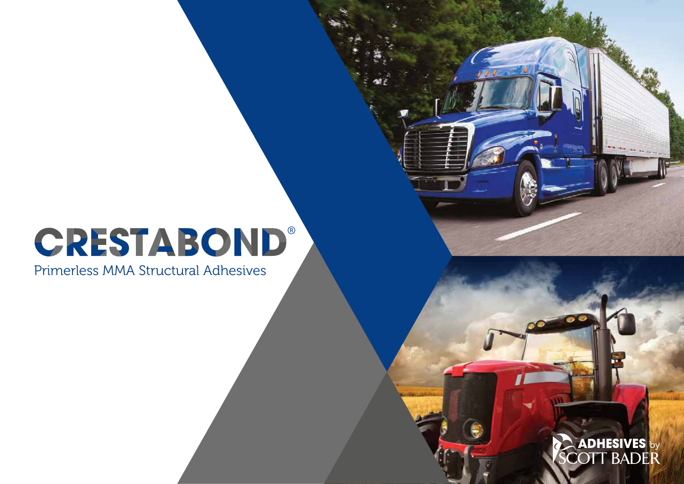# **CRESTABOND®**

Primerless MMA Structural Adhesives

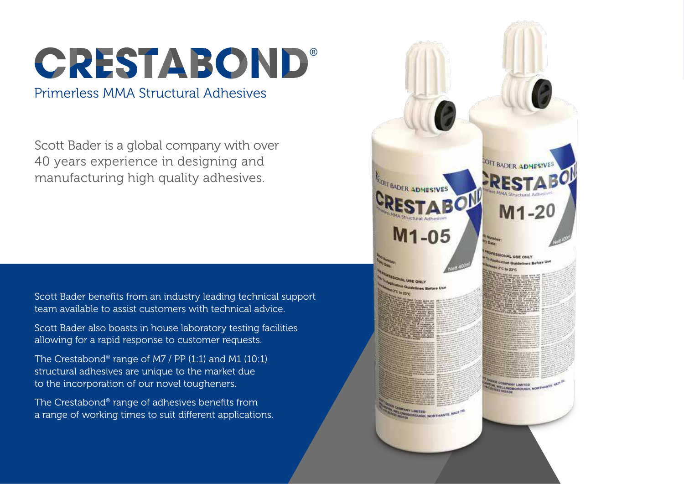# **CRESTABOND®**

Primerless MMA Structural Adhesives

Scott Bader is a global company with over 40 years experience in designing and manufacturing high quality adhesives.

Scott Bader benefits from an industry leading technical support team available to assist customers with technical advice.

Scott Bader also boasts in house laboratory testing facilities allowing for a rapid response to customer requests.

The Crestabond® range of M7 / PP (1:1) and M1 (10:1) structural adhesives are unique to the market due to the incorporation of our novel tougheners.

The Crestabond® range of adhesives benefits from a range of working times to suit different applications.

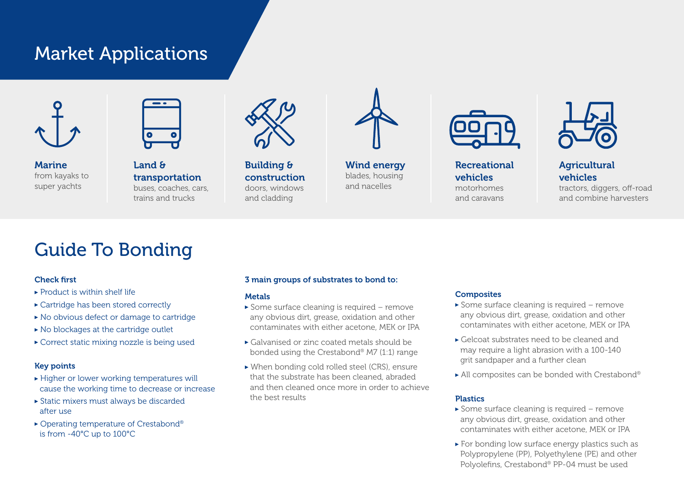## Market Applications





Marine from kayaks to super yachts

Land & transportation buses, coaches, cars, trains and trucks



Building & construction doors, windows and cladding



Wind energy blades, housing and nacelles



Recreational vehicles motorhomes and caravans



## Agricultural vehicles

tractors, diggers, off-road and combine harvesters

# Guide To Bonding

## Check first

- Product is within shelf life
- Cartridge has been stored correctly
- $\triangleright$  No obvious defect or damage to cartridge
- ▶ No blockages at the cartridge outlet
- ► Correct static mixing nozzle is being used

## Key points

- Higher or lower working temperatures will cause the working time to decrease or increase
- Static mixers must always be discarded after use
- ▶ Operating temperature of Crestabond<sup>®</sup> is from -40°C up to 100°C

## 3 main groups of substrates to bond to:

## Metals

- $\triangleright$  Some surface cleaning is required remove any obvious dirt, grease, oxidation and other contaminates with either acetone, MEK or IPA
- ► Galvanised or zinc coated metals should be bonded using the Crestabond® M7 (1:1) range
- When bonding cold rolled steel (CRS), ensure that the substrate has been cleaned, abraded and then cleaned once more in order to achieve the best results

## **Composites**

- $\triangleright$  Some surface cleaning is required remove any obvious dirt, grease, oxidation and other contaminates with either acetone, MEK or IPA
- Gelcoat substrates need to be cleaned and may require a light abrasion with a 100-140 grit sandpaper and a further clean
- ► All composites can be bonded with Crestabond®

## **Plastics**

- $\triangleright$  Some surface cleaning is required remove any obvious dirt, grease, oxidation and other contaminates with either acetone, MEK or IPA
- $\triangleright$  For bonding low surface energy plastics such as Polypropylene (PP), Polyethylene (PE) and other Polyolefins, Crestabond® PP-04 must be used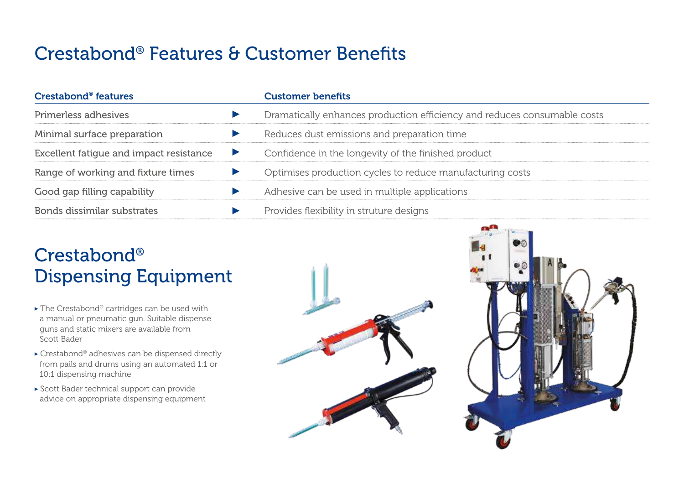# Crestabond® Features & Customer Benefits

| <b>Crestabond<sup>®</sup></b> features  |                       | <b>Customer benefits</b>                                                 |  |  |  |
|-----------------------------------------|-----------------------|--------------------------------------------------------------------------|--|--|--|
| <b>Primerless adhesives</b>             |                       | Dramatically enhances production efficiency and reduces consumable costs |  |  |  |
| Minimal surface preparation             |                       | Reduces dust emissions and preparation time                              |  |  |  |
| Excellent fatique and impact resistance | $\blacktriangleright$ | Confidence in the longevity of the finished product                      |  |  |  |
| Range of working and fixture times      |                       | Optimises production cycles to reduce manufacturing costs                |  |  |  |
| Good gap filling capability             |                       | Adhesive can be used in multiple applications                            |  |  |  |
| <b>Bonds dissimilar substrates</b>      |                       | Provides flexibility in struture designs                                 |  |  |  |

# Crestabond® Dispensing Equipment

- ► The Crestabond® cartridges can be used with a manual or pneumatic gun. Suitable dispense guns and static mixers are available from Scott Bader
- ► Crestabond® adhesives can be dispensed directly from pails and drums using an automated 1:1 or 10:1 dispensing machine
- Scott Bader technical support can provide advice on appropriate dispensing equipment



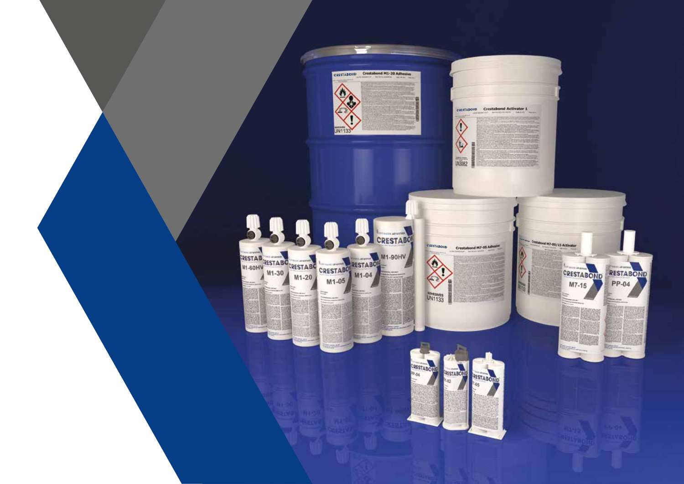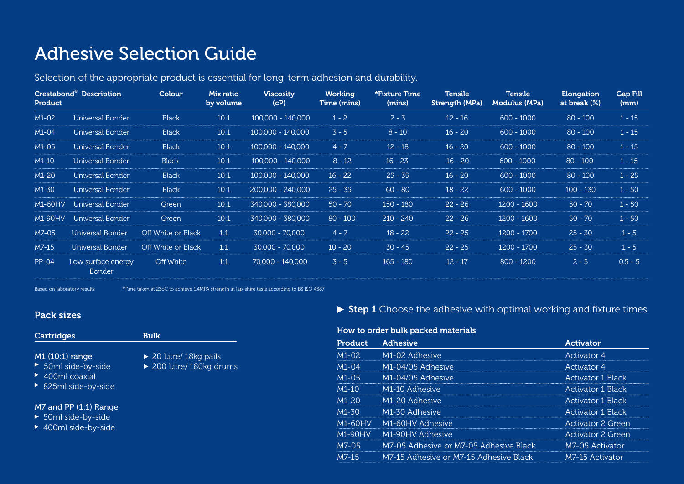## Adhesive Selection Guide

Crestabond<sup>®</sup> Description Description Colour Mix ratio Viscosity Working \*Fixture Time Tensile Tensile Elongation Gap Fill Product by volume (cP) Time (mins) (mins) Strength (MPa) Modulus (MPa) at break (%) (mm) M1-02 Universal Bonder Black 10:1 100,000 - 140,000 1 - 2 2 - 3 12 - 16 600 - 1000 80 - 100 1 - 15 M1-04 Universal Bonder Black 10:1 100,000 - 140,000 3 - 5 8 - 10 16 - 20 600 - 1000 80 - 100 1 - 15 M1-05 Universal Bonder Black 10:1 100,000 - 140,000 4 - 7 12 - 18 16 - 20 600 - 1000 80 - 100 1 - 15 M1-10 Universal Bonder Black 10:1 100,000 - 140,000 8 - 12 16 - 23 16 - 20 600 - 1000 80 - 100 1 - 15 M1-20 Universal Bonder Black 10:1 100,000 - 140,000 16 - 22 25 - 35 16 - 20 600 - 1000 80 - 100 1 - 25 M1-30 Universal Bonder Black 10:1 200,000 - 240,000 25 - 35 60 - 80 18 - 22 600 - 1000 100 - 130 1 - 50 M1-60HV Universal Bonder Green 10:1 340,000 - 380,000 50 - 70 150 - 180 22 - 26 1200 - 1600 50 - 70 1 - 50 M1-90HV Universal Bonder Green 10:1 340,000 - 380,000 80 - 100 210 - 240 22 - 26 1200 - 1600 50 - 70 1 - 50 M7-05 Universal Bonder Off White or Black 1:1 30,000 - 70,000 4 - 7 18 - 22 22 - 25 1200 - 1700 25 - 30 1 - 5 M7-15 Universal Bonder Off White or Black 1:1 30,000 - 70,000 10 - 20 30 - 45 22 - 25 1200 - 1700 25 - 30 1 - 5 PP-04 Low surface energy Off White 1:1 70,000 - 140,000 3 - 5 165 - 180 12 - 17 800 - 1200 2 - 5 0.5 - 5 Bonder

Selection of the appropriate product is essential for long-term adhesion and durability.

Based on laboratory results \*Time taken at 23oC to achieve 1.4MPA strength in lap-shire tests according to BS ISO 4587

## Pack sizes

| <b>Cartridges</b>                                                             | <b>Bulk</b>                                                       |
|-------------------------------------------------------------------------------|-------------------------------------------------------------------|
| M1 (10:1) range<br>50ml side-by-side<br>400ml coaxial<br>▶ 825ml side-by-side | $\triangleright$ 20 Litre/ 18kg pails<br>▶ 200 Litre/ 180kg drums |
| M7 and PP (1:1) Range<br>• 50ml side-by-side<br>▶ 400ml side-by-side          |                                                                   |

## $\triangleright$  Step 1 Choose the adhesive with optimal working and fixture times

## How to order bulk packed materials

| <b>Product</b>     | <b>Adhesive</b>                        | <b>Activator</b>   |
|--------------------|----------------------------------------|--------------------|
| $M1-02$            | M1-02 Adhesive                         | <b>Activator 4</b> |
| $M1 - 04$          | M1-04/05 Adhesive                      | Activator 4        |
| M <sub>1</sub> -05 | M1-04/05 Adhesive                      | Activator 1 Black  |
| $M1-10$            | M <sub>1</sub> -10 Adhesive            | Activator 1 Black  |
| $M1 - 20$          | M <sub>1</sub> -20 Adhesive            | Activator 1 Black  |
| $M1 - 30$          | M1-30 Adhesive                         | Activator 1 Black  |
| $M1-60HV$          | M1-60HV Adhesive                       | Activator 2 Green. |
| $M1-90HV$          | M1-90HV Adhesive                       | Activator 2 Green  |
| M7-05              | M7-05 Adhesive or M7-05 Adhesive Black | M7-05 Activator    |
| M7-15              | M7-15 Adhesive or M7-15 Adhesive Black | M7-15 Activator    |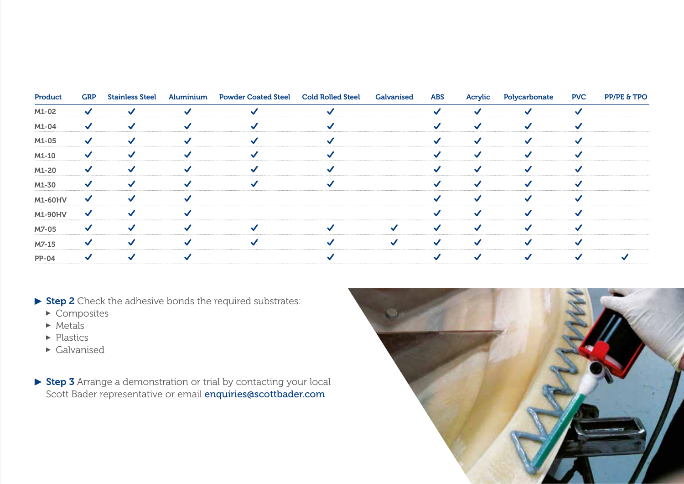| <b>Product</b> | <b>GRP</b>   | <b>Stainless Steel</b><br>$\checkmark$ | Aluminium | <b>Powder Coated Steel</b> | <b>Cold Rolled Steel</b> | Galvanised | <b>ABS</b> | Acrylic<br>$\checkmark$ | Polycarbonate | <b>PVC</b> | PP/PE & TPO |
|----------------|--------------|----------------------------------------|-----------|----------------------------|--------------------------|------------|------------|-------------------------|---------------|------------|-------------|
| $M1-02$        | $\checkmark$ |                                        |           |                            |                          |            |            |                         |               |            |             |
| $M1-04$        | $\checkmark$ |                                        |           |                            |                          |            |            |                         |               |            |             |
| M1-05          | $\checkmark$ |                                        |           |                            |                          |            |            |                         |               |            |             |
| $M1-10$        | $\checkmark$ |                                        |           |                            |                          |            |            |                         |               |            |             |
| $M1-20$        | $\checkmark$ |                                        |           |                            |                          |            |            |                         |               |            |             |
| M1-30          | $\checkmark$ |                                        |           |                            |                          |            |            |                         |               |            |             |
| M1-60HV        | $\checkmark$ |                                        |           |                            |                          |            |            |                         |               |            |             |
| M1-90HV        | $\checkmark$ |                                        |           |                            |                          |            |            |                         |               |            |             |
| M7-05          | $\checkmark$ |                                        |           |                            |                          |            |            |                         |               |            |             |
| M7-15          | $\checkmark$ |                                        |           |                            |                          |            |            |                         |               |            |             |
| <b>PP-04</b>   |              |                                        |           |                            |                          |            |            |                         |               |            |             |

## Step 2 Check the adhesive bonds the required substrates:

- ▶ Composites
- $ightharpoonup$  Metals
- $\blacktriangleright$  Plastics
- $\blacktriangleright$  Galvanised

Step 3 Arrange a demonstration or trial by contacting your local Scott Bader representative or email enquiries@scottbader.com